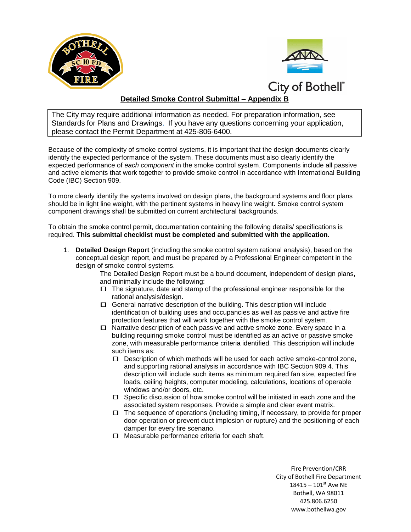



## **Detailed Smoke Control Submittal – Appendix B**

The City may require additional information as needed. For preparation information, see Standards for Plans and Drawings. If you have any questions concerning your application, please contact the Permit Department at 425-806-6400.

Because of the complexity of smoke control systems, it is important that the design documents clearly identify the expected performance of the system. These documents must also clearly identify the expected performance of *each component* in the smoke control system. Components include all passive and active elements that work together to provide smoke control in accordance with International Building Code (IBC) Section 909.

To more clearly identify the systems involved on design plans, the background systems and floor plans should be in light line weight, with the pertinent systems in heavy line weight. Smoke control system component drawings shall be submitted on current architectural backgrounds.

To obtain the smoke control permit, documentation containing the following details/ specifications is required. **This submittal checklist must be completed and submitted with the application.** 

1. **Detailed Design Report** (including the smoke control system rational analysis), based on the conceptual design report, and must be prepared by a Professional Engineer competent in the design of smoke control systems.

> The Detailed Design Report must be a bound document, independent of design plans, and minimally include the following:

- $\Box$  The signature, date and stamp of the professional engineer responsible for the rational analysis/design.
- $\Box$  General narrative description of the building. This description will include identification of building uses and occupancies as well as passive and active fire protection features that will work together with the smoke control system.
- $\Box$  Narrative description of each passive and active smoke zone. Every space in a building requiring smoke control must be identified as an active or passive smoke zone, with measurable performance criteria identified. This description will include such items as:
	- $\Box$  Description of which methods will be used for each active smoke-control zone, and supporting rational analysis in accordance with IBC Section 909.4. This description will include such items as minimum required fan size, expected fire loads, ceiling heights, computer modeling, calculations, locations of operable windows and/or doors, etc.
	- $\square$  Specific discussion of how smoke control will be initiated in each zone and the associated system responses. Provide a simple and clear event matrix.
	- $\Box$  The sequence of operations (including timing, if necessary, to provide for proper door operation or prevent duct implosion or rupture) and the positioning of each damper for every fire scenario.
	- $\Box$  Measurable performance criteria for each shaft.

Fire Prevention/CRR City of Bothell Fire Department  $18415 - 101$ <sup>st</sup> Ave NE Bothell, WA 98011 425.806.6250 www.bothellwa.gov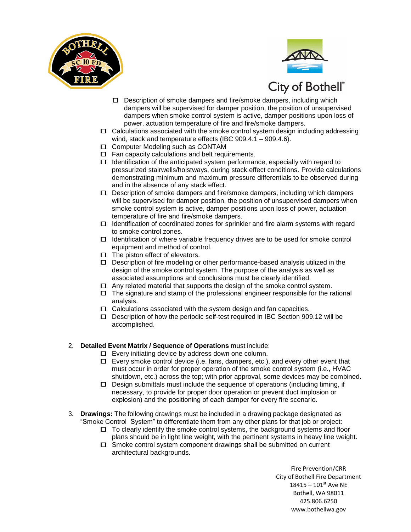



- **City of Bothell**<br> **Description of smoke dampers and fire/smoke dampers, including which** dampers will be supervised for damper position, the position of unsupervised dampers when smoke control system is active, damper positions upon loss of power, actuation temperature of fire and fire/smoke dampers.
- $\Box$  Calculations associated with the smoke control system design including addressing wind, stack and temperature effects (IBC 909.4.1 – 909.4.6).
- □ Computer Modeling such as CONTAM
- $\Box$  Fan capacity calculations and belt requirements.
- $\Box$  Identification of the anticipated system performance, especially with regard to pressurized stairwells/hoistways, during stack effect conditions. Provide calculations demonstrating minimum and maximum pressure differentials to be observed during and in the absence of any stack effect.
- $\Box$  Description of smoke dampers and fire/smoke dampers, including which dampers will be supervised for damper position, the position of unsupervised dampers when smoke control system is active, damper positions upon loss of power, actuation temperature of fire and fire/smoke dampers.
- $\Box$  Identification of coordinated zones for sprinkler and fire alarm systems with regard to smoke control zones.
- $\Box$  Identification of where variable frequency drives are to be used for smoke control equipment and method of control.
- $\Box$  The piston effect of elevators.
- $\Box$  Description of fire modeling or other performance-based analysis utilized in the design of the smoke control system. The purpose of the analysis as well as associated assumptions and conclusions must be clearly identified.
- $\Box$  Any related material that supports the design of the smoke control system.
- $\Box$  The signature and stamp of the professional engineer responsible for the rational analysis.
- $\Box$  Calculations associated with the system design and fan capacities.
- $\square$  Description of how the periodic self-test required in IBC Section 909.12 will be accomplished.
- 2. **Detailed Event Matrix / Sequence of Operations** must include:
	- $\Box$  Every initiating device by address down one column.
	- $\Box$  Every smoke control device (i.e. fans, dampers, etc.), and every other event that must occur in order for proper operation of the smoke control system (i.e., HVAC shutdown, etc.) across the top; with prior approval, some devices may be combined.
	- $\Box$  Design submittals must include the sequence of operations (including timing, if necessary, to provide for proper door operation or prevent duct implosion or explosion) and the positioning of each damper for every fire scenario.
- 3. **Drawings:** The following drawings must be included in a drawing package designated as "Smoke Control System" to differentiate them from any other plans for that job or project:
	- $\Box$  To clearly identify the smoke control systems, the background systems and floor plans should be in light line weight, with the pertinent systems in heavy line weight.
	- $\Box$  Smoke control system component drawings shall be submitted on current architectural backgrounds.

Fire Prevention/CRR City of Bothell Fire Department  $18415 - 101$ <sup>st</sup> Ave NE Bothell, WA 98011 425.806.6250 www.bothellwa.gov